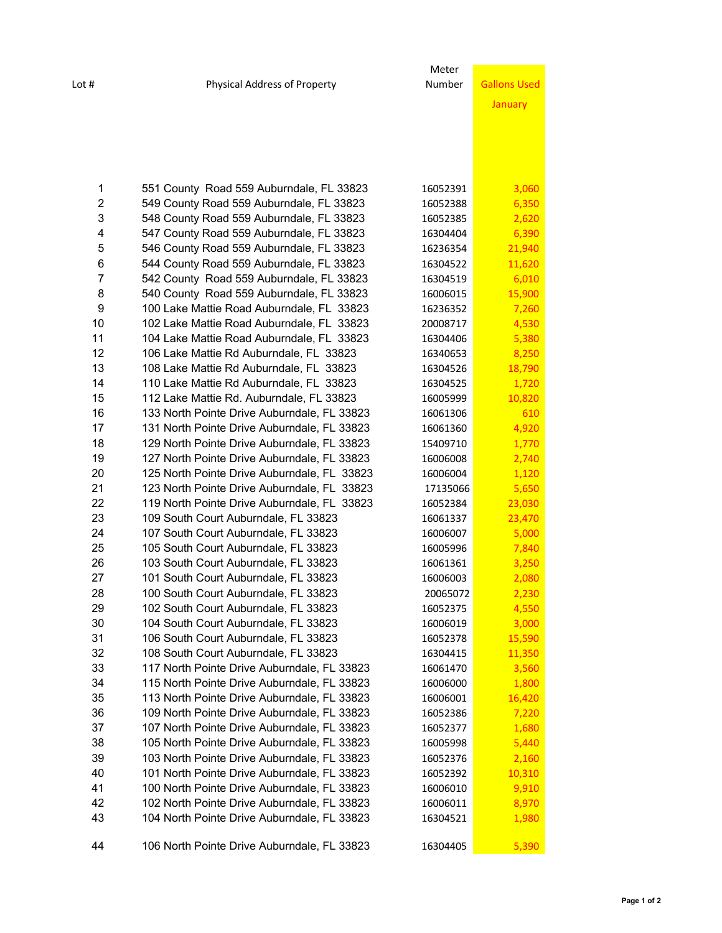|                |                                             | Meter    |                     |
|----------------|---------------------------------------------|----------|---------------------|
| Lot #          | <b>Physical Address of Property</b>         | Number   | <b>Gallons Used</b> |
|                |                                             |          | January             |
|                |                                             |          |                     |
|                |                                             |          |                     |
|                |                                             |          |                     |
|                |                                             |          |                     |
|                |                                             |          |                     |
| 1              | 551 County Road 559 Auburndale, FL 33823    | 16052391 | 3,060               |
| $\overline{2}$ | 549 County Road 559 Auburndale, FL 33823    | 16052388 | 6,350               |
| 3              | 548 County Road 559 Auburndale, FL 33823    | 16052385 | 2,620               |
| 4              | 547 County Road 559 Auburndale, FL 33823    | 16304404 | 6,390               |
| 5              | 546 County Road 559 Auburndale, FL 33823    | 16236354 | 21,940              |
| 6              | 544 County Road 559 Auburndale, FL 33823    | 16304522 | 11,620              |
| 7              | 542 County Road 559 Auburndale, FL 33823    | 16304519 | 6,010               |
| 8              | 540 County Road 559 Auburndale, FL 33823    | 16006015 | 15,900              |
| 9              | 100 Lake Mattie Road Auburndale, FL 33823   | 16236352 | 7,260               |
| 10             | 102 Lake Mattie Road Auburndale, FL 33823   | 20008717 | 4,530               |
| 11             | 104 Lake Mattie Road Auburndale, FL 33823   | 16304406 | 5,380               |
| 12             | 106 Lake Mattie Rd Auburndale, FL 33823     | 16340653 | 8,250               |
| 13             | 108 Lake Mattie Rd Auburndale, FL 33823     | 16304526 | 18,790              |
| 14             | 110 Lake Mattie Rd Auburndale, FL 33823     | 16304525 | 1,720               |
| 15             | 112 Lake Mattie Rd. Auburndale, FL 33823    | 16005999 | 10,820              |
| 16             | 133 North Pointe Drive Auburndale, FL 33823 | 16061306 | 610                 |
| 17             | 131 North Pointe Drive Auburndale, FL 33823 | 16061360 | 4,920               |
| 18             | 129 North Pointe Drive Auburndale, FL 33823 | 15409710 | 1,770               |
| 19             | 127 North Pointe Drive Auburndale, FL 33823 | 16006008 | 2,740               |
| 20             | 125 North Pointe Drive Auburndale, FL 33823 | 16006004 | 1,120               |
| 21             | 123 North Pointe Drive Auburndale, FL 33823 | 17135066 | 5,650               |
| 22             | 119 North Pointe Drive Auburndale, FL 33823 | 16052384 | 23,030              |
| 23             | 109 South Court Auburndale, FL 33823        | 16061337 | 23,470              |
| 24             | 107 South Court Auburndale, FL 33823        | 16006007 | 5,000               |
| 25             | 105 South Court Auburndale, FL 33823        | 16005996 | 7,840               |
| 26             | 103 South Court Auburndale, FL 33823        | 16061361 | 3,250               |
| 27             | 101 South Court Auburndale, FL 33823        | 16006003 | 2,080               |
| 28             | 100 South Court Auburndale, FL 33823        | 20065072 | 2,230               |
| 29             | 102 South Court Auburndale, FL 33823        | 16052375 | 4,550               |
| 30             | 104 South Court Auburndale, FL 33823        | 16006019 | 3,000               |
| 31             | 106 South Court Auburndale, FL 33823        | 16052378 | 15,590              |
| 32             | 108 South Court Auburndale, FL 33823        | 16304415 | 11,350              |
| 33             | 117 North Pointe Drive Auburndale, FL 33823 | 16061470 | 3,560               |
| 34             | 115 North Pointe Drive Auburndale, FL 33823 | 16006000 | 1,800               |
| 35             | 113 North Pointe Drive Auburndale, FL 33823 | 16006001 | 16,420              |
| 36             | 109 North Pointe Drive Auburndale, FL 33823 | 16052386 | 7,220               |
| 37             | 107 North Pointe Drive Auburndale, FL 33823 | 16052377 | 1,680               |
| 38             | 105 North Pointe Drive Auburndale, FL 33823 | 16005998 | 5,440               |
| 39             | 103 North Pointe Drive Auburndale, FL 33823 | 16052376 | 2,160               |
| 40             | 101 North Pointe Drive Auburndale, FL 33823 | 16052392 | 10,310              |
| 41             | 100 North Pointe Drive Auburndale, FL 33823 | 16006010 | 9,910               |
| 42             | 102 North Pointe Drive Auburndale, FL 33823 | 16006011 | 8,970               |
| 43             | 104 North Pointe Drive Auburndale, FL 33823 | 16304521 | 1,980               |
| 44             | 106 North Pointe Drive Auburndale, FL 33823 | 16304405 | 5,390               |
|                |                                             |          |                     |